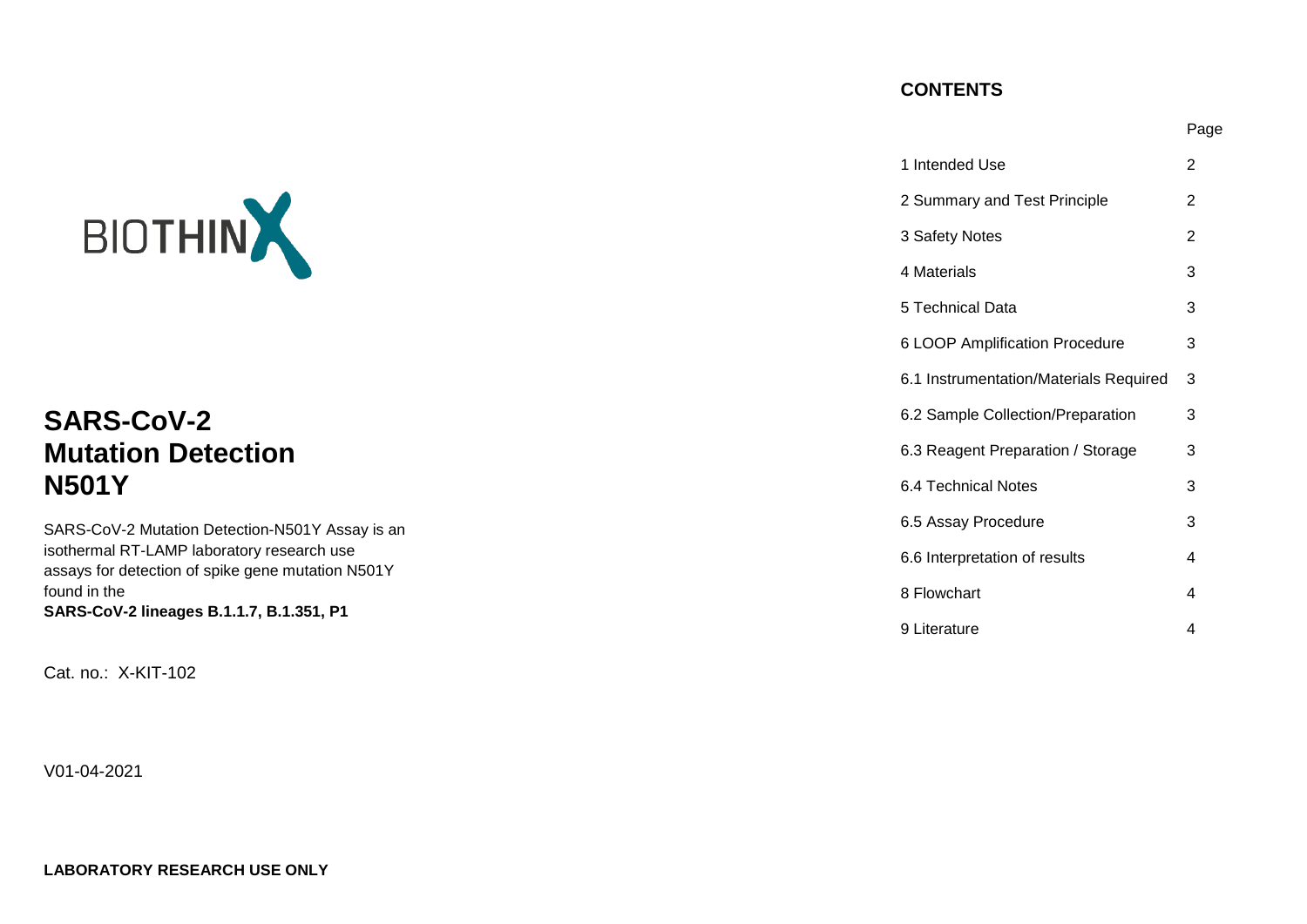## **CONTENTS**

Page

|                                                                                                 | 1 Intended Use                         | $\overline{2}$ |
|-------------------------------------------------------------------------------------------------|----------------------------------------|----------------|
|                                                                                                 | 2 Summary and Test Principle           | 2              |
| BIOTHIN                                                                                         | 3 Safety Notes                         | $\overline{2}$ |
|                                                                                                 | 4 Materials                            | 3              |
|                                                                                                 | 5 Technical Data                       | 3              |
|                                                                                                 | 6 LOOP Amplification Procedure         | 3              |
|                                                                                                 | 6.1 Instrumentation/Materials Required | -3             |
| <b>SARS-CoV-2</b>                                                                               | 6.2 Sample Collection/Preparation      | 3              |
| <b>Mutation Detection</b>                                                                       | 6.3 Reagent Preparation / Storage      | 3              |
| <b>N501Y</b>                                                                                    | 6.4 Technical Notes                    | 3              |
| SARS-CoV-2 Mutation Detection-N501Y Assay is an                                                 | 6.5 Assay Procedure                    | 3              |
| isothermal RT-LAMP laboratory research use<br>assays for detection of spike gene mutation N501Y | 6.6 Interpretation of results          | 4              |
| found in the                                                                                    | 8 Flowchart                            | 4              |
| SARS-CoV-2 lineages B.1.1.7, B.1.351, P1                                                        | 9 Literature                           | 4              |

Cat. no.: X-KIT-102

V01-04-2021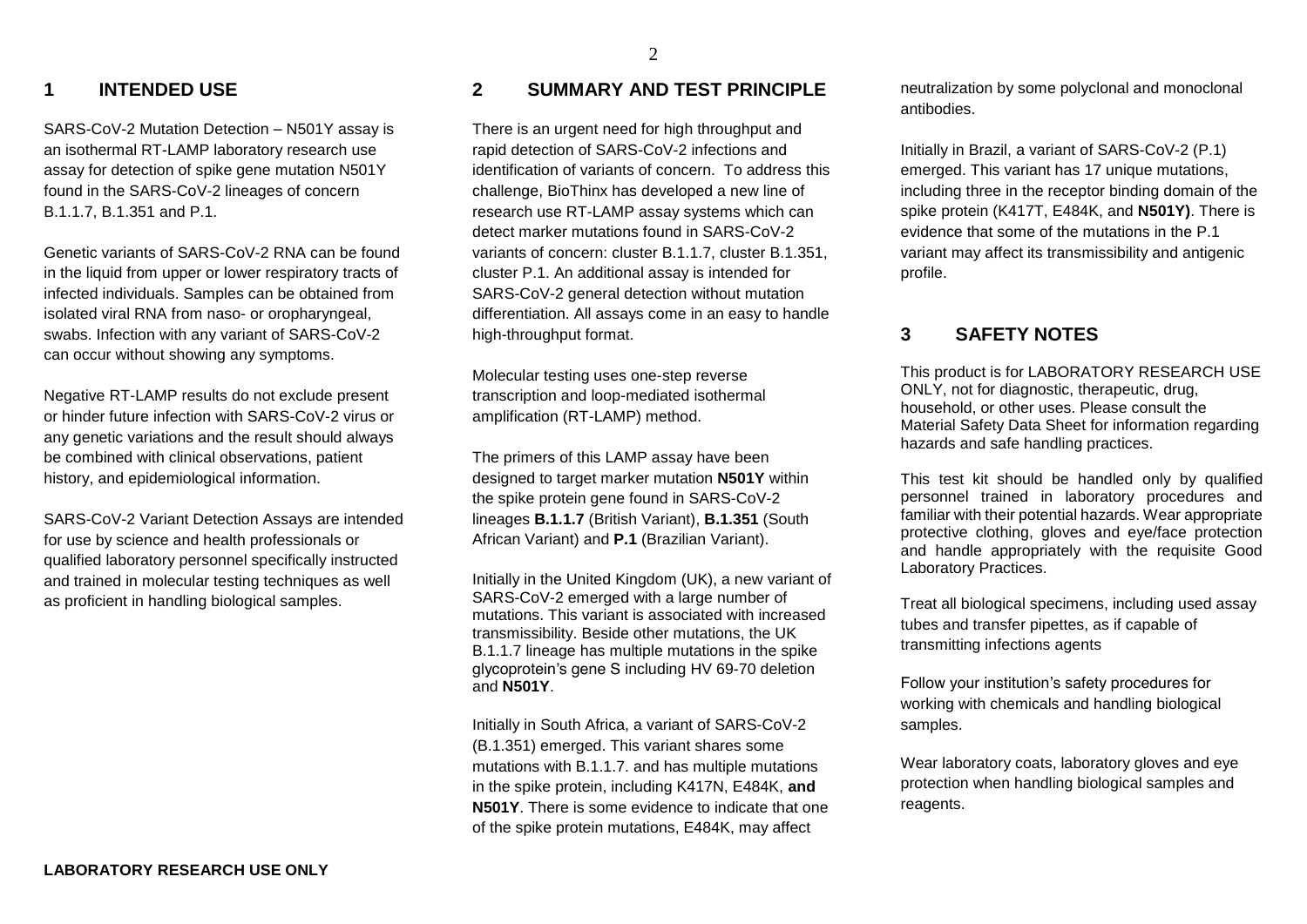#### 2

### **1 INTENDED USE**

SARS-CoV-2 Mutation Detection – N501Y assay is an isothermal RT-LAMP laboratory research use assay for detection of spike gene mutation N501Y found in the SARS-CoV-2 lineages of concern B.1.1.7, B.1.351 and P.1.

Genetic variants of SARS-CoV-2 RNA can be found in the liquid from upper or lower respiratory tracts of infected individuals. Samples can be obtained from isolated viral RNA from naso- or oropharyngeal, swabs. Infection with any variant of SARS-CoV-2 can occur without showing any symptoms.

Negative RT-LAMP results do not exclude present or hinder future infection with SARS-CoV-2 virus or any genetic variations and the result should always be combined with clinical observations, patient history, and epidemiological information.

SARS-CoV-2 Variant Detection Assays are intended for use by science and health professionals or qualified laboratory personnel specifically instructed and trained in molecular testing techniques as well as proficient in handling biological samples.

# **2 SUMMARY AND TEST PRINCIPLE**

There is an urgent need for high throughput and rapid detection of SARS-CoV-2 infections and identification of variants of concern. To address this challenge, BioThinx has developed a new line of research use RT-LAMP assay systems which can detect marker mutations found in SARS-CoV-2 variants of concern: cluster B.1.1.7, cluster B.1.351, cluster P.1. An additional assay is intended for SARS-CoV-2 general detection without mutation differentiation. All assays come in an easy to handle high-throughput format.

Molecular testing uses one-step reverse transcription and loop-mediated isothermal amplification (RT-LAMP) method.

The primers of this LAMP assay have been designed to target marker mutation **N501Y** within the spike protein gene found in SARS-CoV-2 lineages **B.1.1.7** (British Variant), **B.1.351** (South African Variant) and **P.1** (Brazilian Variant).

Initially in the United Kingdom (UK), a new variant of SARS-CoV-2 emerged with a large number of mutations. This variant is associated with increased transmissibility. Beside other mutations, the UK B.1.1.7 lineage has multiple mutations in the spike glycoprotein's gene S including HV 69-70 deletion and **N501Y**.

Initially in South Africa, a variant of SARS-CoV-2 (B.1.351) emerged. This variant shares some mutations with B.1.1.7. and has multiple mutations in the spike protein, including K417N, E484K, **and N501Y**. There is some evidence to indicate that one of the spike protein mutations, E484K, may affect

neutralization by some polyclonal and monoclonal antibodies.

Initially in Brazil, a variant of SARS-CoV-2 (P.1) emerged. This variant has 17 unique mutations, including three in the receptor binding domain of the spike protein (K417T, E484K, and **N501Y)**. There is evidence that some of the mutations in the P.1 variant may affect its transmissibility and antigenic profile.

### **3 SAFETY NOTES**

This product is for LABORATORY RESEARCH USE ONLY, not for diagnostic, therapeutic, drug, household, or other uses. Please consult the Material Safety Data Sheet for information regarding hazards and safe handling practices.

This test kit should be handled only by qualified personnel trained in laboratory procedures and familiar with their potential hazards. Wear appropriate protective clothing, gloves and eye/face protection and handle appropriately with the requisite Good Laboratory Practices.

Treat all biological specimens, including used assay tubes and transfer pipettes, as if capable of transmitting infections agents

Follow your institution's safety procedures for working with chemicals and handling biological samples.

Wear laboratory coats, laboratory gloves and eye protection when handling biological samples and reagents.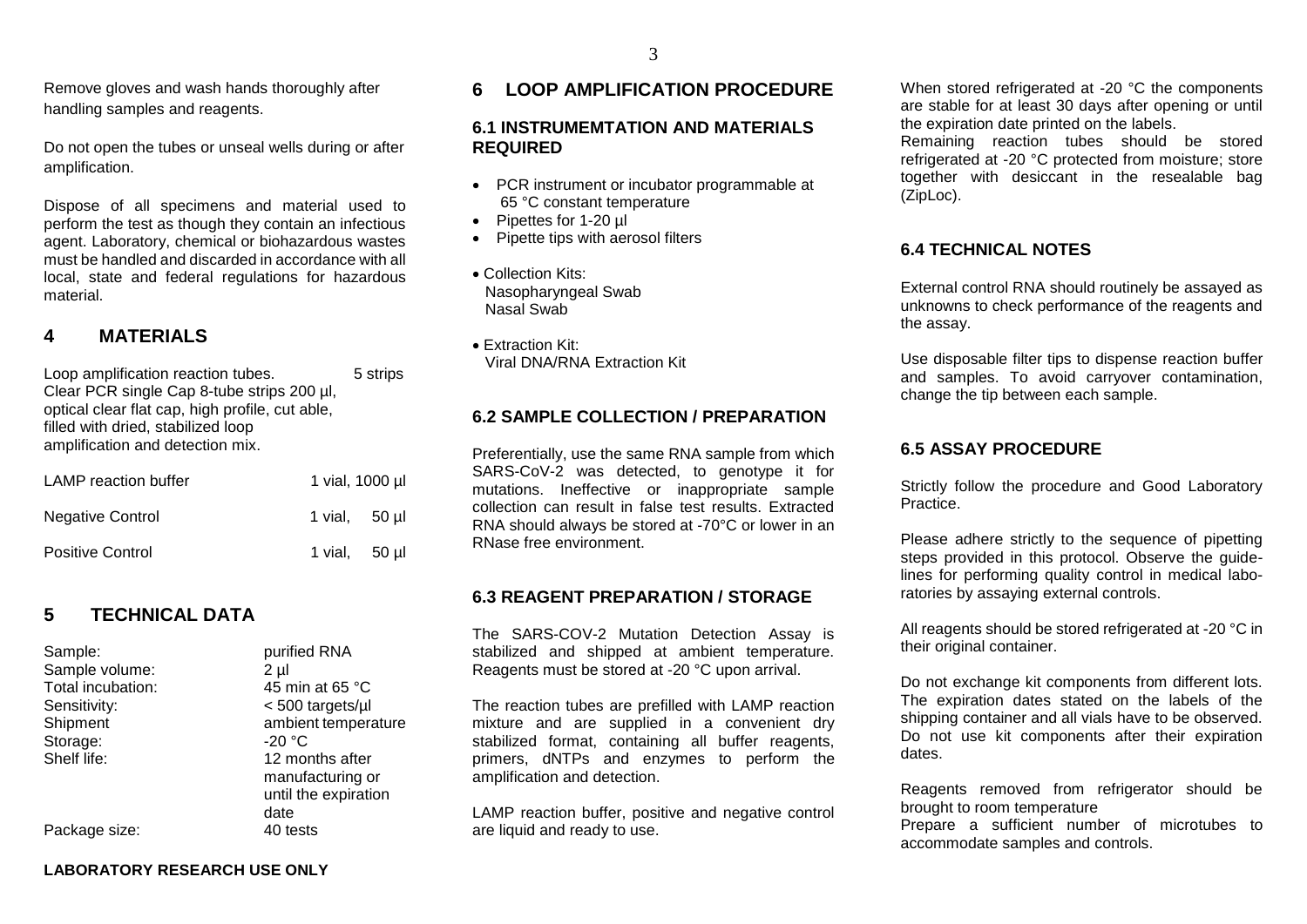3

Remove gloves and wash hands thoroughly after handling samples and reagents.

Do not open the tubes or unseal wells during or after amplification.

Dispose of all specimens and material used to perform the test as though they contain an infectious agent. Laboratory, chemical or biohazardous wastes must be handled and discarded in accordance with all local, state and federal regulations for hazardous material.

## **4 MATERIALS**

Loop amplification reaction tubes. 5 strips Clear PCR single Cap 8-tube strips 200 µl, optical clear flat cap, high profile, cut able, filled with dried, stabilized loop amplification and detection mix.

| <b>LAMP</b> reaction buffer | 1 vial, 1000 µl |  |
|-----------------------------|-----------------|--|
| <b>Negative Control</b>     | 1 vial, 50 ul   |  |
| <b>Positive Control</b>     | 1 vial, 50 ul   |  |

## **5 TECHNICAL DATA**

Sample: purified RNA Sample volume: 2 ul Total incubation: 45 min at 65 °C Sensitivity:  $\leq 500$  targets/ul Shipment ambient temperature Storage: 20 °C Shelf life: 12 months after manufacturing or until the expiration date Package size: 40 tests

## **6 LOOP AMPLIFICATION PROCEDURE**

#### **6.1 INSTRUMEMTATION AND MATERIALS REQUIRED**

- PCR instrument or incubator programmable at 65 °C constant temperature
- Pipettes for 1-20 µl
- Pipette tips with aerosol filters
- Collection Kits: Nasopharyngeal Swab Nasal Swab
- Extraction Kit: Viral DNA/RNA Extraction Kit

### **6.2 SAMPLE COLLECTION / PREPARATION**

Preferentially, use the same RNA sample from which SARS-CoV-2 was detected, to genotype it for mutations. Ineffective or inappropriate sample collection can result in false test results. Extracted RNA should always be stored at -70°C or lower in an RNase free environment.

#### **6.3 REAGENT PREPARATION / STORAGE**

The SARS-COV-2 Mutation Detection Assay is stabilized and shipped at ambient temperature. Reagents must be stored at -20 °C upon arrival.

The reaction tubes are prefilled with LAMP reaction mixture and are supplied in a convenient dry stabilized format, containing all buffer reagents, primers, dNTPs and enzymes to perform the amplification and detection.

LAMP reaction buffer, positive and negative control are liquid and ready to use.

When stored refrigerated at -20 °C the components are stable for at least 30 days after opening or until the expiration date printed on the labels.

Remaining reaction tubes should be stored refrigerated at -20 °C protected from moisture; store together with desiccant in the resealable bag (ZipLoc).

### **6.4 TECHNICAL NOTES**

External control RNA should routinely be assayed as unknowns to check performance of the reagents and the assay.

Use disposable filter tips to dispense reaction buffer and samples. To avoid carryover contamination, change the tip between each sample.

### **6.5 ASSAY PROCEDURE**

Strictly follow the procedure and Good Laboratory Practice.

Please adhere strictly to the sequence of pipetting steps provided in this protocol. Observe the guidelines for performing quality control in medical laboratories by assaying external controls.

All reagents should be stored refrigerated at -20 °C in their original container.

Do not exchange kit components from different lots. The expiration dates stated on the labels of the shipping container and all vials have to be observed. Do not use kit components after their expiration dates.

Reagents removed from refrigerator should be brought to room temperature

Prepare a sufficient number of microtubes to accommodate samples and controls.

**LABORATORY RESEARCH USE ONLY**